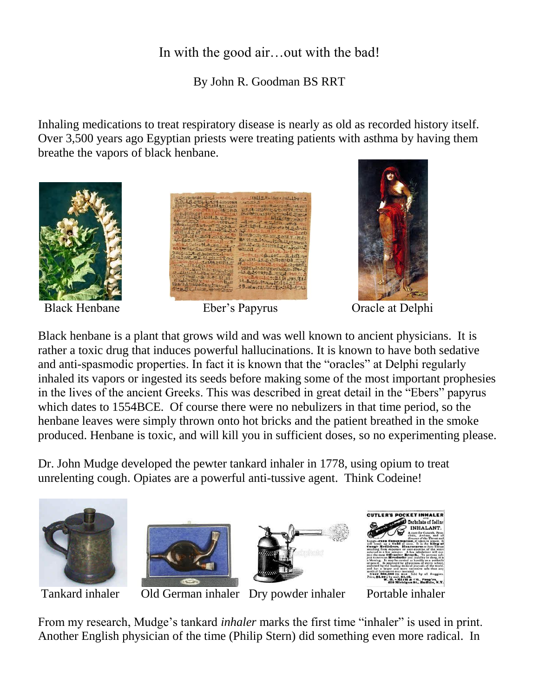## In with the good air…out with the bad!

By John R. Goodman BS RRT

Inhaling medications to treat respiratory disease is nearly as old as recorded history itself. Over 3,500 years ago Egyptian priests were treating patients with asthma by having them breathe the vapors of black henbane.







Black Henbane Eber's Papyrus Oracle at Delphi

Black henbane is a plant that grows wild and was well known to ancient physicians. It is rather a toxic drug that induces powerful hallucinations. It is known to have both sedative and anti-spasmodic properties. In fact it is known that the "oracles" at Delphi regularly inhaled its vapors or ingested its seeds before making some of the most important prophesies in the lives of the ancient Greeks. This was described in great detail in the "Ebers" papyrus which dates to 1554BCE. Of course there were no nebulizers in that time period, so the henbane leaves were simply thrown onto hot bricks and the patient breathed in the smoke produced. Henbane is toxic, and will kill you in sufficient doses, so no experimenting please.

Dr. John Mudge developed the pewter tankard inhaler in 1778, using opium to treat unrelenting cough. Opiates are a powerful anti-tussive agent. Think Codeine!









Tankard inhaler Old German inhaler Dry powder inhaler Portable inhaler

From my research, Mudge's tankard *inhaler* marks the first time "inhaler" is used in print. Another English physician of the time (Philip Stern) did something even more radical. In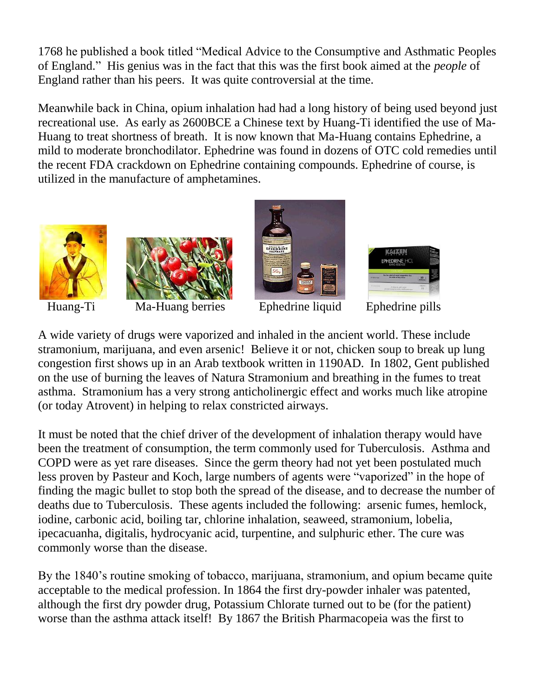1768 he published a book titled "Medical Advice to the Consumptive and Asthmatic Peoples of England." His genius was in the fact that this was the first book aimed at the *people* of England rather than his peers. It was quite controversial at the time.

Meanwhile back in China, opium inhalation had had a long history of being used beyond just recreational use. As early as 2600BCE a Chinese text by Huang-Ti identified the use of Ma-Huang to treat shortness of breath. It is now known that Ma-Huang contains Ephedrine, a mild to moderate bronchodilator. Ephedrine was found in dozens of OTC cold remedies until the recent FDA crackdown on Ephedrine containing compounds. Ephedrine of course, is utilized in the manufacture of amphetamines.





Huang-Ti Ma-Huang berries Ephedrine liquid Ephedrine pills





A wide variety of drugs were vaporized and inhaled in the ancient world. These include stramonium, marijuana, and even arsenic! Believe it or not, chicken soup to break up lung congestion first shows up in an Arab textbook written in 1190AD. In 1802, Gent published on the use of burning the leaves of Natura Stramonium and breathing in the fumes to treat asthma. Stramonium has a very strong anticholinergic effect and works much like atropine (or today Atrovent) in helping to relax constricted airways.

It must be noted that the chief driver of the development of inhalation therapy would have been the treatment of consumption, the term commonly used for Tuberculosis. Asthma and COPD were as yet rare diseases. Since the germ theory had not yet been postulated much less proven by Pasteur and Koch, large numbers of agents were "vaporized" in the hope of finding the magic bullet to stop both the spread of the disease, and to decrease the number of deaths due to Tuberculosis. These agents included the following: arsenic fumes, hemlock, iodine, carbonic acid, boiling tar, chlorine inhalation, seaweed, stramonium, lobelia, ipecacuanha, digitalis, hydrocyanic acid, turpentine, and sulphuric ether. The cure was commonly worse than the disease.

By the 1840's routine smoking of tobacco, marijuana, stramonium, and opium became quite acceptable to the medical profession. In 1864 the first dry-powder inhaler was patented, although the first dry powder drug, Potassium Chlorate turned out to be (for the patient) worse than the asthma attack itself! By 1867 the British Pharmacopeia was the first to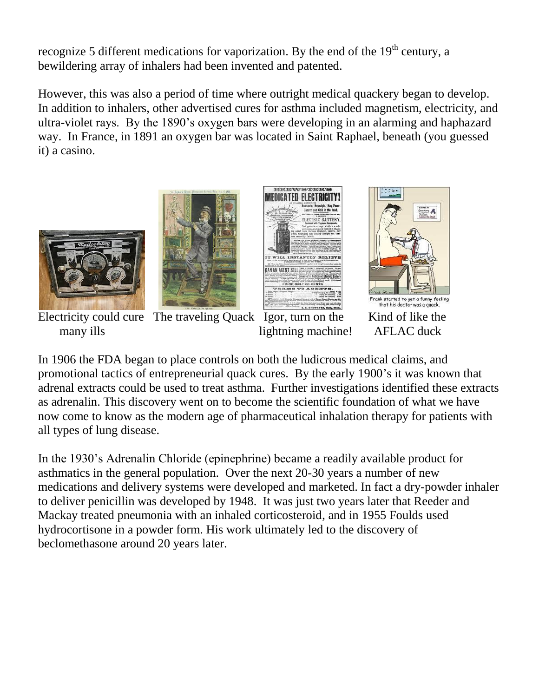recognize 5 different medications for vaporization. By the end of the  $19<sup>th</sup>$  century, a bewildering array of inhalers had been invented and patented.

However, this was also a period of time where outright medical quackery began to develop. In addition to inhalers, other advertised cures for asthma included magnetism, electricity, and ultra-violet rays. By the 1890's oxygen bars were developing in an alarming and haphazard way. In France, in 1891 an oxygen bar was located in Saint Raphael, beneath (you guessed it) a casino.









Electricity could cure The traveling Quack Igor, turn on the Kind of like the many ills lightning machine! AFLAC duck

In 1906 the FDA began to place controls on both the ludicrous medical claims, and promotional tactics of entrepreneurial quack cures. By the early 1900's it was known that adrenal extracts could be used to treat asthma. Further investigations identified these extracts as adrenalin. This discovery went on to become the scientific foundation of what we have now come to know as the modern age of pharmaceutical inhalation therapy for patients with all types of lung disease.

In the 1930's Adrenalin Chloride (epinephrine) became a readily available product for asthmatics in the general population. Over the next 20-30 years a number of new medications and delivery systems were developed and marketed. In fact a dry-powder inhaler to deliver penicillin was developed by 1948. It was just two years later that Reeder and Mackay treated pneumonia with an inhaled corticosteroid, and in 1955 Foulds used hydrocortisone in a powder form. His work ultimately led to the discovery of beclomethasone around 20 years later.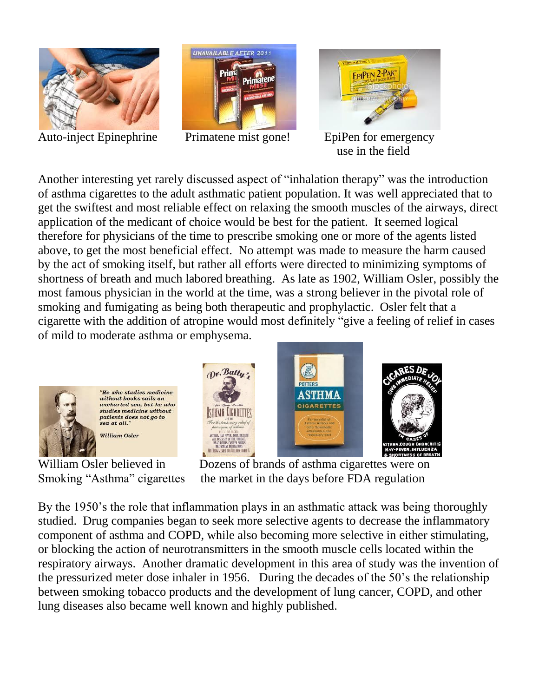

Auto-inject Epinephrine Primatene mist gone! EpiPen for emergency





use in the field

Another interesting yet rarely discussed aspect of "inhalation therapy" was the introduction of asthma cigarettes to the adult asthmatic patient population. It was well appreciated that to get the swiftest and most reliable effect on relaxing the smooth muscles of the airways, direct application of the medicant of choice would be best for the patient. It seemed logical therefore for physicians of the time to prescribe smoking one or more of the agents listed above, to get the most beneficial effect. No attempt was made to measure the harm caused by the act of smoking itself, but rather all efforts were directed to minimizing symptoms of shortness of breath and much labored breathing. As late as 1902, William Osler, possibly the most famous physician in the world at the time, was a strong believer in the pivotal role of smoking and fumigating as being both therapeutic and prophylactic. Osler felt that a cigarette with the addition of atropine would most definitely "give a feeling of relief in cases of mild to moderate asthma or emphysema.



"He who studies medicine without books sails an uncharted sea, but he who studies medicine without patients does not go to sea at all. **William Osler** 







William Osler believed in Dozens of brands of asthma cigarettes were on Smoking "Asthma" cigarettes the market in the days before FDA regulation

By the 1950's the role that inflammation plays in an asthmatic attack was being thoroughly studied. Drug companies began to seek more selective agents to decrease the inflammatory component of asthma and COPD, while also becoming more selective in either stimulating, or blocking the action of neurotransmitters in the smooth muscle cells located within the respiratory airways. Another dramatic development in this area of study was the invention of the pressurized meter dose inhaler in 1956. During the decades of the 50's the relationship between smoking tobacco products and the development of lung cancer, COPD, and other lung diseases also became well known and highly published.